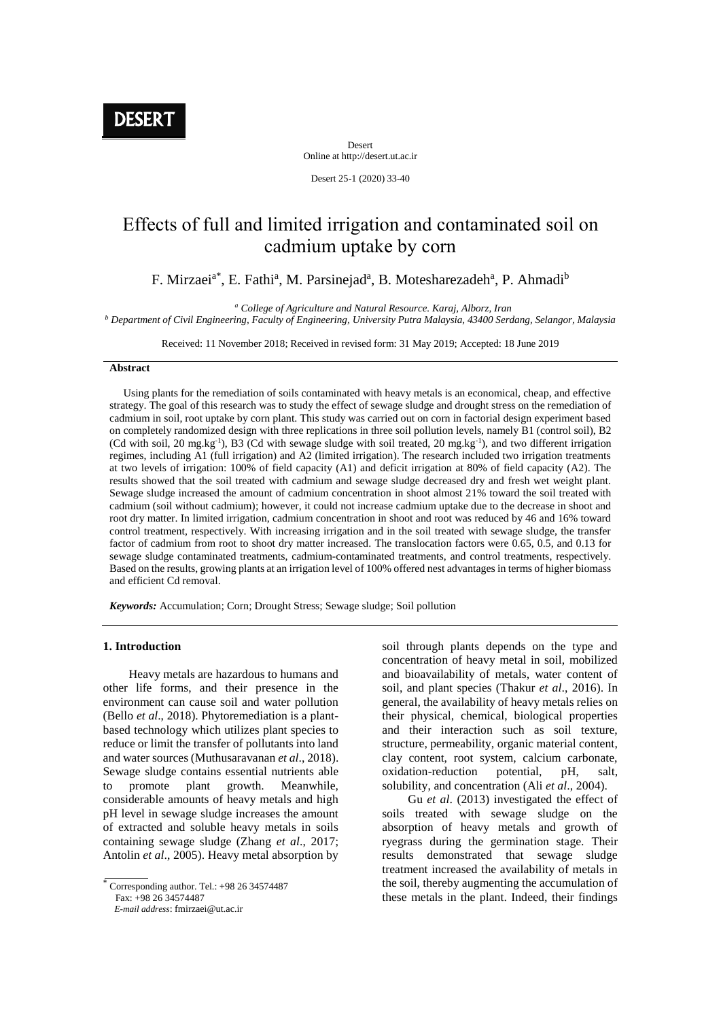**DESERT** 

Desert Online at http://desert.ut.ac.ir

Desert 25-1 (2020) 33-40

# Effects of full and limited irrigation and contaminated soil on cadmium uptake by corn

F. Mirzaei<sup>a\*</sup>, E. Fathi<sup>a</sup>, M. Parsinejad<sup>a</sup>, B. Motesharezadeh<sup>a</sup>, P. Ahmadi<sup>b</sup>

*<sup>a</sup> College of Agriculture and Natural Resource. Karaj, Alborz, Iran*

*<sup>b</sup> Department of Civil Engineering, Faculty of Engineering, University Putra Malaysia, 43400 Serdang, Selangor, Malaysia*

Received: 11 November 2018; Received in revised form: 31 May 2019; Accepted: 18 June 2019

## **Abstract**

 Using plants for the remediation of soils contaminated with heavy metals is an economical, cheap, and effective strategy. The goal of this research was to study the effect of sewage sludge and drought stress on the remediation of cadmium in soil, root uptake by corn plant. This study was carried out on corn in factorial design experiment based on completely randomized design with three replications in three soil pollution levels, namely B1 (control soil), B2 (Cd with soil, 20 mg.kg<sup>-1</sup>), B3 (Cd with sewage sludge with soil treated, 20 mg.kg<sup>-1</sup>), and two different irrigation regimes, including A1 (full irrigation) and A2 (limited irrigation). The research included two irrigation treatments at two levels of irrigation: 100% of field capacity (A1) and deficit irrigation at 80% of field capacity (A2). The results showed that the soil treated with cadmium and sewage sludge decreased dry and fresh wet weight plant. Sewage sludge increased the amount of cadmium concentration in shoot almost 21% toward the soil treated with cadmium (soil without cadmium); however, it could not increase cadmium uptake due to the decrease in shoot and root dry matter. In limited irrigation, cadmium concentration in shoot and root was reduced by 46 and 16% toward control treatment, respectively. With increasing irrigation and in the soil treated with sewage sludge, the transfer factor of cadmium from root to shoot dry matter increased. The translocation factors were 0.65, 0.5, and 0.13 for sewage sludge contaminated treatments, cadmium-contaminated treatments, and control treatments, respectively. Based on the results, growing plants at an irrigation level of 100% offered nest advantages in terms of higher biomass and efficient Cd removal.

*Keywords:* Accumulation; Corn; Drought Stress; Sewage sludge; Soil pollution

# **1. Introduction**

Heavy metals are hazardous to humans and other life forms, and their presence in the environment can cause soil and water pollution (Bello *et al*., 2018). Phytoremediation is a plantbased technology which utilizes plant species to reduce or limit the transfer of pollutants into land and water sources (Muthusaravanan *et al*., 2018). Sewage sludge contains essential nutrients able to promote plant growth. Meanwhile, considerable amounts of heavy metals and high pH level in sewage sludge increases the amount of extracted and soluble heavy metals in soils containing sewage sludge (Zhang *et al*., 2017; Antolin *et al*., 2005). Heavy metal absorption by

Fax: +98 26 34574487

 *E-mail address*: fmirzaei@ut.ac.ir

soil through plants depends on the type and concentration of heavy metal in soil, mobilized and bioavailability of metals, water content of soil, and plant species (Thakur *et al*., 2016). In general, the availability of heavy metals relies on their physical, chemical, biological properties and their interaction such as soil texture, structure, permeability, organic material content, clay content, root system, calcium carbonate, oxidation-reduction potential, pH, salt, solubility, and concentration (Ali *et al*., 2004).

Gu *et al*. (2013) investigated the effect of soils treated with sewage sludge on the absorption of heavy metals and growth of ryegrass during the germination stage. Their results demonstrated that sewage sludge treatment increased the availability of metals in the soil, thereby augmenting the accumulation of these metals in the plant. Indeed, their findings

 $*$  Corresponding author. Tel.:  $+98$  26 34574487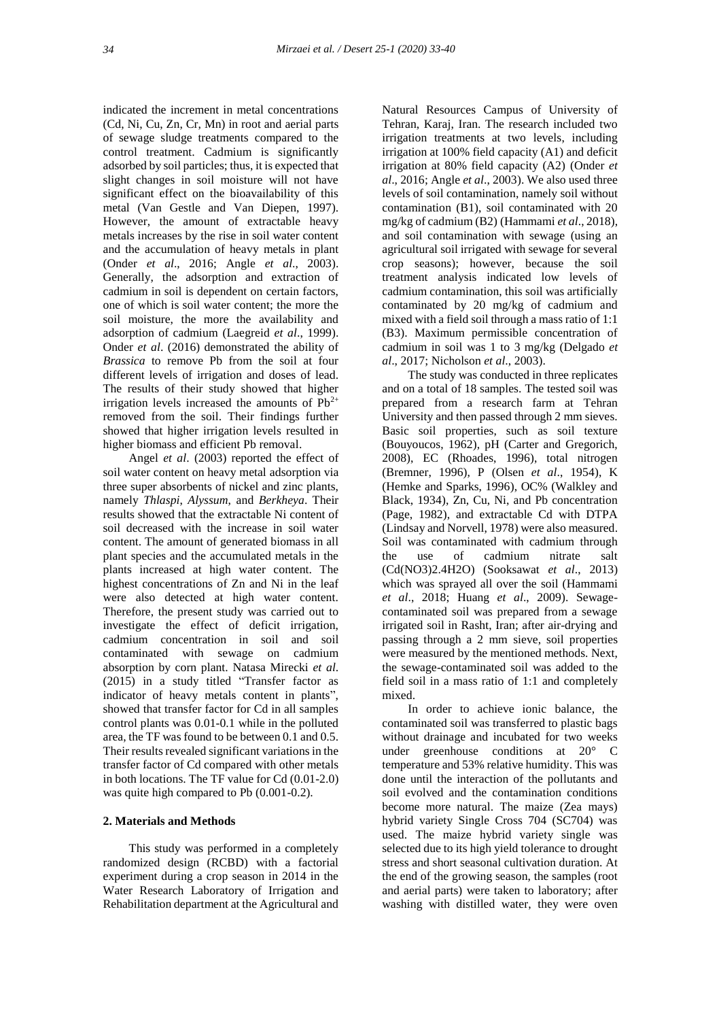indicated the increment in metal concentrations (Cd, Ni, Cu, Zn, Cr, Mn) in root and aerial parts of sewage sludge treatments compared to the control treatment. Cadmium is significantly adsorbed by soil particles; thus, it is expected that slight changes in soil moisture will not have significant effect on the bioavailability of this metal (Van Gestle and Van Diepen, 1997). However, the amount of extractable heavy metals increases by the rise in soil water content and the accumulation of heavy metals in plant (Onder *et al*., 2016; Angle *et al*., 2003). Generally, the adsorption and extraction of cadmium in soil is dependent on certain factors, one of which is soil water content; the more the soil moisture, the more the availability and adsorption of cadmium (Laegreid *et al*., 1999). Onder *et al*. (2016) demonstrated the ability of *Brassica* to remove Pb from the soil at four different levels of irrigation and doses of lead. The results of their study showed that higher irrigation levels increased the amounts of  $Pb^{2+}$ removed from the soil. Their findings further showed that higher irrigation levels resulted in higher biomass and efficient Pb removal.

Angel *et al*. (2003) reported the effect of soil water content on heavy metal adsorption via three super absorbents of nickel and zinc plants, namely *Thlaspi*, *Alyssum*, and *Berkheya*. Their results showed that the extractable Ni content of soil decreased with the increase in soil water content. The amount of generated biomass in all plant species and the accumulated metals in the plants increased at high water content. The highest concentrations of Zn and Ni in the leaf were also detected at high water content. Therefore, the present study was carried out to investigate the effect of deficit irrigation, cadmium concentration in soil and soil contaminated with sewage on cadmium absorption by corn plant. Natasa Mirecki *et al*. (2015) in a study titled "Transfer factor as indicator of heavy metals content in plants", showed that transfer factor for Cd in all samples control plants was 0.01-0.1 while in the polluted area, the TF was found to be between 0.1 and 0.5. Their results revealed significant variations in the transfer factor of Cd compared with other metals in both locations. The TF value for Cd (0.01-2.0) was quite high compared to Pb (0.001-0.2).

# **2. Materials and Methods**

This study was performed in a completely randomized design (RCBD) with a factorial experiment during a crop season in 2014 in the Water Research Laboratory of Irrigation and Rehabilitation department at the Agricultural and Natural Resources Campus of University of Tehran, Karaj, Iran. The research included two irrigation treatments at two levels, including irrigation at 100% field capacity (A1) and deficit irrigation at 80% field capacity (A2) (Onder *et al*., 2016; Angle *et al*., 2003). We also used three levels of soil contamination, namely soil without contamination (B1), soil contaminated with 20 mg/kg of cadmium (B2) (Hammami *et al*., 2018), and soil contamination with sewage (using an agricultural soil irrigated with sewage for several crop seasons); however, because the soil treatment analysis indicated low levels of cadmium contamination, this soil was artificially contaminated by 20 mg/kg of cadmium and mixed with a field soil through a mass ratio of 1:1 (B3). Maximum permissible concentration of cadmium in soil was 1 to 3 mg/kg (Delgado *et al*., 2017; Nicholson *et al*., 2003).

The study was conducted in three replicates and on a total of 18 samples. The tested soil was prepared from a research farm at Tehran University and then passed through 2 mm sieves. Basic soil properties, such as soil texture (Bouyoucos, 1962), pH (Carter and Gregorich, 2008), EC (Rhoades, 1996), total nitrogen (Bremner, 1996), P (Olsen *et al*., 1954), K (Hemke and Sparks, 1996), OC% (Walkley and Black, 1934), Zn, Cu, Ni, and Pb concentration (Page, 1982), and extractable Cd with DTPA (Lindsay and Norvell, 1978) were also measured. Soil was contaminated with cadmium through the use of cadmium nitrate salt (Cd(NO3)2.4H2O) (Sooksawat *et al*., 2013) which was sprayed all over the soil (Hammami *et al*., 2018; Huang *et al*., 2009). Sewagecontaminated soil was prepared from a sewage irrigated soil in Rasht, Iran; after air-drying and passing through a 2 mm sieve, soil properties were measured by the mentioned methods. Next, the sewage-contaminated soil was added to the field soil in a mass ratio of 1:1 and completely mixed.

In order to achieve ionic balance, the contaminated soil was transferred to plastic bags without drainage and incubated for two weeks under greenhouse conditions at 20° C temperature and 53% relative humidity. This was done until the interaction of the pollutants and soil evolved and the contamination conditions become more natural. The maize (Zea mays) hybrid variety Single Cross 704 (SC704) was used. The maize hybrid variety single was selected due to its high yield tolerance to drought stress and short seasonal cultivation duration. At the end of the growing season, the samples (root and aerial parts) were taken to laboratory; after washing with distilled water, they were oven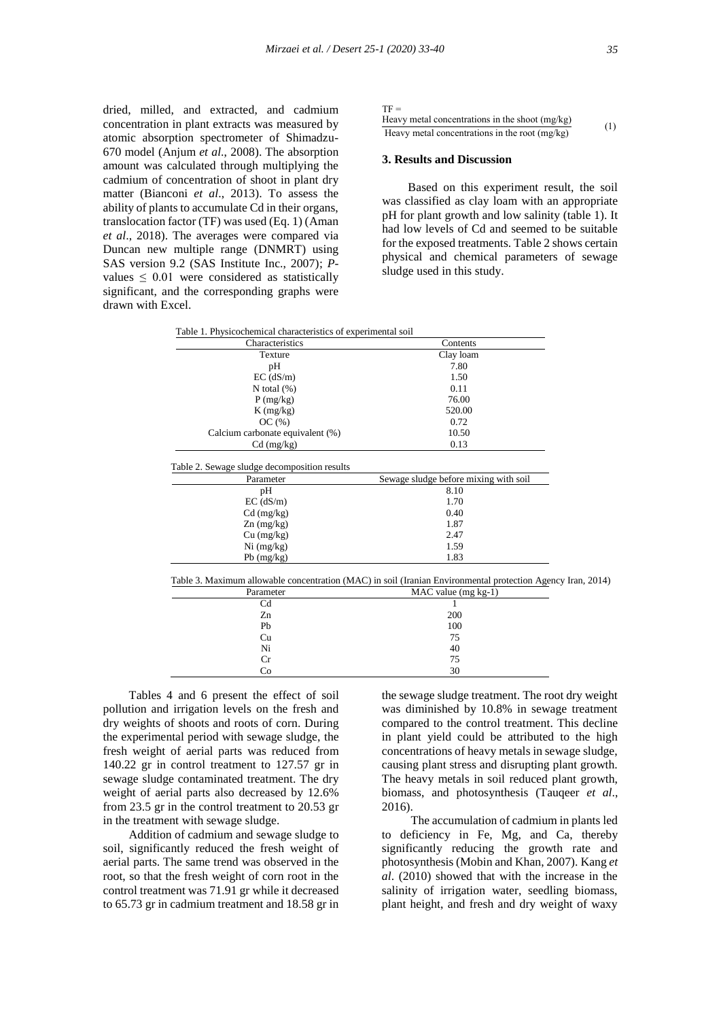dried, milled, and extracted, and cadmium concentration in plant extracts was measured by atomic absorption spectrometer of Shimadzu-670 model (Anjum *et al*., 2008). The absorption amount was calculated through multiplying the cadmium of concentration of shoot in plant dry matter (Bianconi *et al*., 2013). To assess the ability of plants to accumulate Cd in their organs, translocation factor (TF) was used (Eq. 1) (Aman *et al*., 2018). The averages were compared via Duncan new multiple range (DNMRT) using SAS version 9.2 (SAS Institute Inc., 2007); *P*values  $\leq 0.01$  were considered as statistically significant, and the corresponding graphs were drawn with Excel.

#### $TF =$

| Heavy metal concentrations in the shoot (mg/kg) | (1) |
|-------------------------------------------------|-----|
| Heavy metal concentrations in the root (mg/kg)  |     |

#### **3. Results and Discussion**

Based on this experiment result, the soil was classified as clay loam with an appropriate pH for plant growth and low salinity (table 1). It had low levels of Cd and seemed to be suitable for the exposed treatments. Table 2 shows certain physical and chemical parameters of sewage sludge used in this study.

| Table 1. Physicochemical characteristics of experimental soil |  |
|---------------------------------------------------------------|--|
|---------------------------------------------------------------|--|

| Characteristics                                                                                                          | Contents                              |
|--------------------------------------------------------------------------------------------------------------------------|---------------------------------------|
| Texture                                                                                                                  | Clay loam                             |
| рH                                                                                                                       | 7.80                                  |
| $EC$ ( $dS/m$ )                                                                                                          | 1.50                                  |
| N total $(\%)$                                                                                                           | 0.11                                  |
| P(mg/kg)                                                                                                                 | 76.00                                 |
| $K$ (mg/kg)                                                                                                              | 520.00                                |
| OC(%)                                                                                                                    | 0.72                                  |
| Calcium carbonate equivalent (%)                                                                                         | 10.50                                 |
| $Cd$ (mg/kg)                                                                                                             | 0.13                                  |
| Table 2. Sewage sludge decomposition results<br>Parameter                                                                | Sewage sludge before mixing with soil |
|                                                                                                                          |                                       |
| pH                                                                                                                       | 8.10                                  |
| $EC$ ( $dS/m$ )                                                                                                          | 1.70                                  |
| $Cd$ (mg/kg)                                                                                                             | 0.40                                  |
| $Zn$ (mg/kg)                                                                                                             | 1.87                                  |
| Cu (mg/kg)                                                                                                               | 2.47                                  |
| $Ni$ (mg/kg)                                                                                                             | 1.59                                  |
| $Pb$ (mg/kg)                                                                                                             | 1.83                                  |
| Table 3. Maximum allowable concentration (MAC) in soil (Iranian Environmental protection Agency Iran, 2014)<br>Parameter | $MAC$ value (mg $kg-1$ )              |
| Cd                                                                                                                       | 1                                     |
| Zn                                                                                                                       | 200                                   |
| Pb                                                                                                                       | 100                                   |
| Cu                                                                                                                       | 75                                    |
| Ni                                                                                                                       | 40                                    |
| Cr                                                                                                                       | 75                                    |

 $Co$  30

Tables 4 and 6 present the effect of soil pollution and irrigation levels on the fresh and dry weights of shoots and roots of corn. During the experimental period with sewage sludge, the fresh weight of aerial parts was reduced from 140.22 gr in control treatment to 127.57 gr in sewage sludge contaminated treatment. The dry weight of aerial parts also decreased by 12.6% from 23.5 gr in the control treatment to 20.53 gr in the treatment with sewage sludge.

Addition of cadmium and sewage sludge to soil, significantly reduced the fresh weight of aerial parts. The same trend was observed in the root, so that the fresh weight of corn root in the control treatment was 71.91 gr while it decreased to 65.73 gr in cadmium treatment and 18.58 gr in

the sewage sludge treatment. The root dry weight was diminished by 10.8% in sewage treatment compared to the control treatment. This decline in plant yield could be attributed to the high concentrations of heavy metals in sewage sludge, causing plant stress and disrupting plant growth. The heavy metals in soil reduced plant growth, biomass, and photosynthesis (Tauqeer *et al*., 2016).

The accumulation of cadmium in plants led to deficiency in Fe, Mg, and Ca, thereby significantly reducing the growth rate and photosynthesis (Mobin and Khan, 2007). Kang *et al*. (2010) showed that with the increase in the salinity of irrigation water, seedling biomass, plant height, and fresh and dry weight of waxy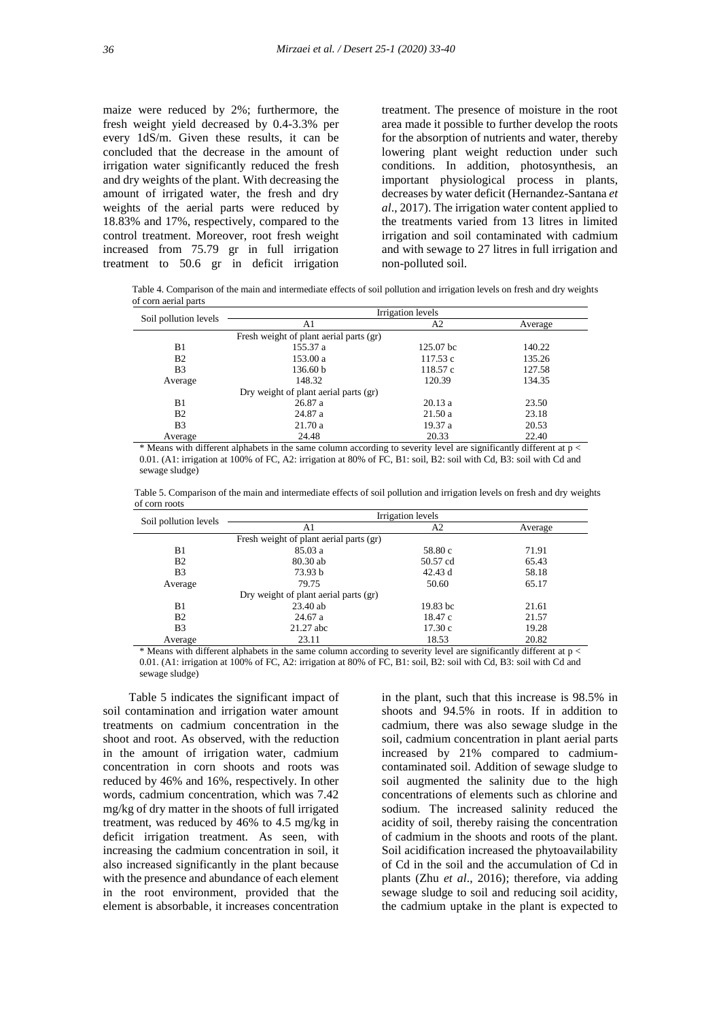maize were reduced by 2%; furthermore, the fresh weight yield decreased by 0.4-3.3% per every 1dS/m. Given these results, it can be concluded that the decrease in the amount of irrigation water significantly reduced the fresh and dry weights of the plant. With decreasing the amount of irrigated water, the fresh and dry weights of the aerial parts were reduced by 18.83% and 17%, respectively, compared to the control treatment. Moreover, root fresh weight increased from 75.79 gr in full irrigation treatment to 50.6 gr in deficit irrigation

treatment. The presence of moisture in the root area made it possible to further develop the roots for the absorption of nutrients and water, thereby lowering plant weight reduction under such conditions. In addition, photosynthesis, an important physiological process in plants, decreases by water deficit (Hernandez-Santana *et al*., 2017). The irrigation water content applied to the treatments varied from 13 litres in limited irrigation and soil contaminated with cadmium and with sewage to 27 litres in full irrigation and non-polluted soil.

 Table 4. Comparison of the main and intermediate effects of soil pollution and irrigation levels on fresh and dry weights of corn aerial parts

| Soil pollution levels | Irrigation levels                       |           |         |  |
|-----------------------|-----------------------------------------|-----------|---------|--|
|                       | A1                                      | A2        | Average |  |
|                       | Fresh weight of plant aerial parts (gr) |           |         |  |
| B1                    | 155.37 a                                | 125.07 bc | 140.22  |  |
| B <sub>2</sub>        | 153.00 a                                | 117.53 c  | 135.26  |  |
| B <sub>3</sub>        | 136.60 b                                | 118.57 c  | 127.58  |  |
| Average               | 148.32                                  | 120.39    | 134.35  |  |
|                       | Dry weight of plant aerial parts (gr)   |           |         |  |
| B <sub>1</sub>        | 26.87 a                                 | 20.13a    | 23.50   |  |
| B <sub>2</sub>        | 24.87 a                                 | 21.50a    | 23.18   |  |
| B <sub>3</sub>        | 21.70a                                  | 19.37 a   | 20.53   |  |
| Average               | 24.48                                   | 20.33     | 22.40   |  |

\* Means with different alphabets in the same column according to severity level are significantly different at p < 0.01. (A1: irrigation at 100% of FC, A2: irrigation at 80% of FC, B1: soil, B2: soil with Cd, B3: soil with Cd and sewage sludge)

 Table 5. Comparison of the main and intermediate effects of soil pollution and irrigation levels on fresh and dry weights of corn roots

|                                         | Irrigation levels |                |         |
|-----------------------------------------|-------------------|----------------|---------|
| Soil pollution levels                   | A1                | A <sub>2</sub> | Average |
| Fresh weight of plant aerial parts (gr) |                   |                |         |
| B <sub>1</sub>                          | 85.03a            | 58.80 c        | 71.91   |
| B <sub>2</sub>                          | 80.30 ab          | 50.57 cd       | 65.43   |
| B <sub>3</sub>                          | 73.93 b           | 42.43 d        | 58.18   |
| Average                                 | 79.75             | 50.60          | 65.17   |
| Dry weight of plant aerial parts (gr)   |                   |                |         |
| B <sub>1</sub>                          | $23.40$ ab        | 19.83 bc       | 21.61   |
| B <sub>2</sub>                          | 24.67 a           | 18.47 c        | 21.57   |
| B <sub>3</sub>                          | 21.27 abc         | 17.30c         | 19.28   |
| Average                                 | 23.11             | 18.53          | 20.82   |

\* Means with different alphabets in the same column according to severity level are significantly different at p < 0.01. (A1: irrigation at 100% of FC, A2: irrigation at 80% of FC, B1: soil, B2: soil with Cd, B3: soil with Cd and sewage sludge)

Table 5 indicates the significant impact of soil contamination and irrigation water amount treatments on cadmium concentration in the shoot and root. As observed, with the reduction in the amount of irrigation water, cadmium concentration in corn shoots and roots was reduced by 46% and 16%, respectively. In other words, cadmium concentration, which was 7.42 mg/kg of dry matter in the shoots of full irrigated treatment, was reduced by 46% to 4.5 mg/kg in deficit irrigation treatment. As seen, with increasing the cadmium concentration in soil, it also increased significantly in the plant because with the presence and abundance of each element in the root environment, provided that the element is absorbable, it increases concentration

in the plant, such that this increase is 98.5% in shoots and 94.5% in roots. If in addition to cadmium, there was also sewage sludge in the soil, cadmium concentration in plant aerial parts increased by 21% compared to cadmiumcontaminated soil. Addition of sewage sludge to soil augmented the salinity due to the high concentrations of elements such as chlorine and sodium. The increased salinity reduced the acidity of soil, thereby raising the concentration of cadmium in the shoots and roots of the plant. Soil acidification increased the phytoavailability of Cd in the soil and the accumulation of Cd in plants (Zhu *et al*., 2016); therefore, via adding sewage sludge to soil and reducing soil acidity, the cadmium uptake in the plant is expected to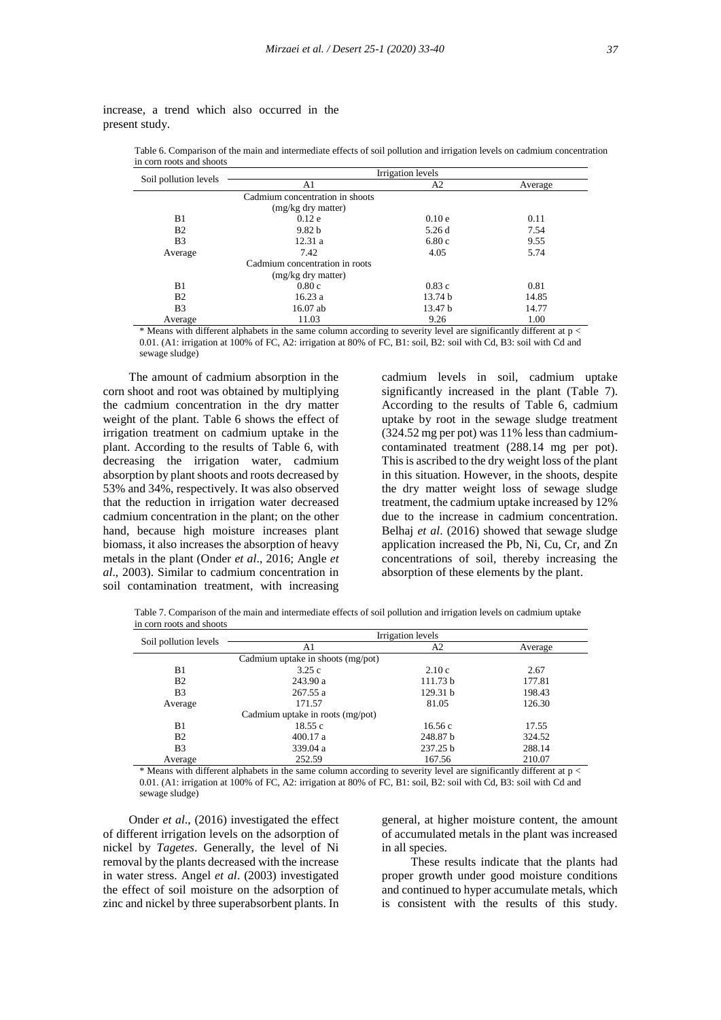| Soil pollution levels | Irrigation levels               |                    |         |
|-----------------------|---------------------------------|--------------------|---------|
|                       | A1                              | A2                 | Average |
|                       | Cadmium concentration in shoots |                    |         |
|                       | (mg/kg dry matter)              |                    |         |
| B1                    | 0.12e                           | 0.10e              | 0.11    |
| B <sub>2</sub>        | 9.82 <sub>b</sub>               | 5.26d              | 7.54    |
| B <sub>3</sub>        | 12.31a                          | 6.80c              | 9.55    |
| Average               | 7.42                            | 4.05               | 5.74    |
|                       | Cadmium concentration in roots  |                    |         |
|                       | (mg/kg dry matter)              |                    |         |
| B <sub>1</sub>        | 0.80c                           | 0.83c              | 0.81    |
| B <sub>2</sub>        | 16.23a                          | 13.74 <sub>b</sub> | 14.85   |
| B <sub>3</sub>        | $16.07$ ab                      | 13.47 b            | 14.77   |
| Average               | 11.03                           | 9.26               | 1.00    |

increase, a trend which also occurred in the present study.

 Table 6. Comparison of the main and intermediate effects of soil pollution and irrigation levels on cadmium concentration in corn roots and shoots

\* Means with different alphabets in the same column according to severity level are significantly different at p < 0.01. (A1: irrigation at 100% of FC, A2: irrigation at 80% of FC, B1: soil, B2: soil with Cd, B3: soil with Cd and sewage sludge)

The amount of cadmium absorption in the corn shoot and root was obtained by multiplying the cadmium concentration in the dry matter weight of the plant. Table 6 shows the effect of irrigation treatment on cadmium uptake in the plant. According to the results of Table 6, with decreasing the irrigation water, cadmium absorption by plant shoots and roots decreased by 53% and 34%, respectively. It was also observed that the reduction in irrigation water decreased cadmium concentration in the plant; on the other hand, because high moisture increases plant biomass, it also increases the absorption of heavy metals in the plant (Onder *et al*., 2016; Angle *et al*., 2003). Similar to cadmium concentration in soil contamination treatment, with increasing

cadmium levels in soil, cadmium uptake significantly increased in the plant (Table 7). According to the results of Table 6, cadmium uptake by root in the sewage sludge treatment (324.52 mg per pot) was 11% less than cadmiumcontaminated treatment (288.14 mg per pot). This is ascribed to the dry weight loss of the plant in this situation. However, in the shoots, despite the dry matter weight loss of sewage sludge treatment, the cadmium uptake increased by 12% due to the increase in cadmium concentration. Belhaj *et al*. (2016) showed that sewage sludge application increased the Pb, Ni, Cu, Cr, and Zn concentrations of soil, thereby increasing the absorption of these elements by the plant.

 Table 7. Comparison of the main and intermediate effects of soil pollution and irrigation levels on cadmium uptake in corn roots and shoots

|                                  | Irrigation levels                 |                      |                                                                      |  |
|----------------------------------|-----------------------------------|----------------------|----------------------------------------------------------------------|--|
| Soil pollution levels            | A1                                | A <sub>2</sub>       | Average                                                              |  |
|                                  | Cadmium uptake in shoots (mg/pot) |                      |                                                                      |  |
| B1                               | 3.25c                             | 2.10c                | 2.67                                                                 |  |
| B <sub>2</sub>                   | 243.90 a                          | 111.73 b             | 177.81                                                               |  |
| B <sub>3</sub>                   | 267.55 a                          | 129.31 b             | 198.43                                                               |  |
| Average                          | 171.57                            | 81.05                | 126.30                                                               |  |
|                                  | Cadmium uptake in roots (mg/pot)  |                      |                                                                      |  |
| B <sub>1</sub>                   | 18.55c                            | 16.56c               | 17.55                                                                |  |
| B <sub>2</sub>                   | 400.17a                           | 248.87 b             | 324.52                                                               |  |
| B <sub>3</sub>                   | 339.04 a                          | 237.25 b             | 288.14                                                               |  |
| Average                          | 252.59                            | 167.56               | 210.07                                                               |  |
| $\cdots$<br>$\sim$ $\sim$ $\sim$ | .<br>$\cdot$ $\cdot$              | $\sim$ $\sim$ $\sim$ | $\cdot$ $\cdot$ $\cdot$<br>$\rightarrow$ $\rightarrow$ $\rightarrow$ |  |

\* Means with different alphabets in the same column according to severity level are significantly different at p < 0.01. (A1: irrigation at 100% of FC, A2: irrigation at 80% of FC, B1: soil, B2: soil with Cd, B3: soil with Cd and sewage sludge)

Onder *et al*., (2016) investigated the effect of different irrigation levels on the adsorption of nickel by *Tagetes*. Generally, the level of Ni removal by the plants decreased with the increase in water stress. Angel *et al*. (2003) investigated the effect of soil moisture on the adsorption of zinc and nickel by three superabsorbent plants. In

general, at higher moisture content, the amount of accumulated metals in the plant was increased in all species.

These results indicate that the plants had proper growth under good moisture conditions and continued to hyper accumulate metals, which is consistent with the results of this study.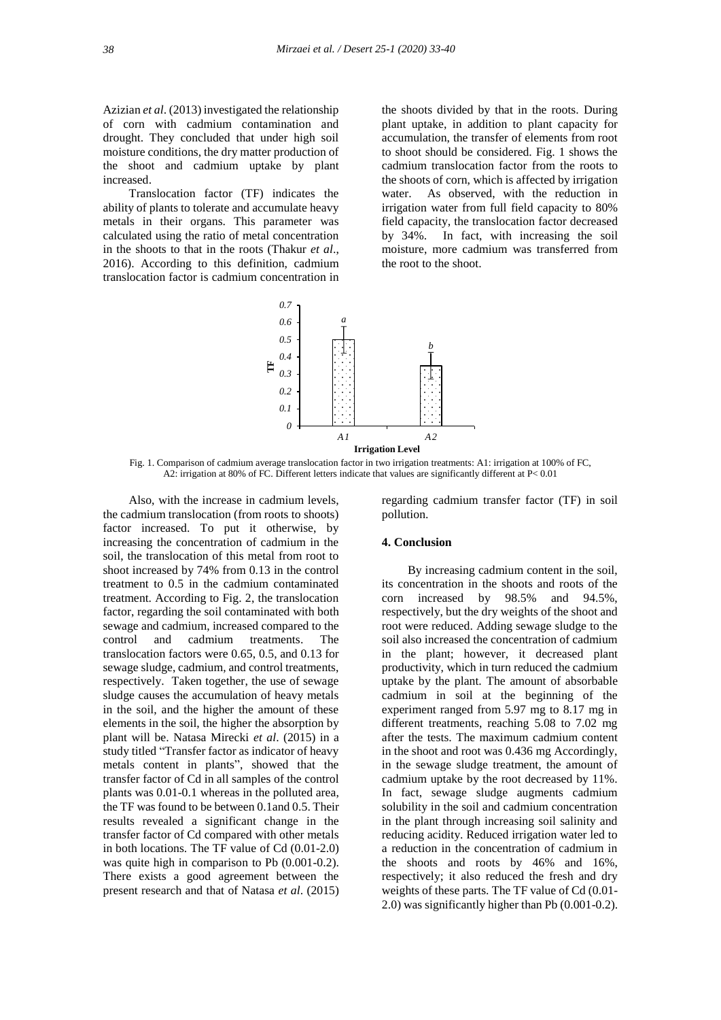Azizian *et al*. (2013) investigated the relationship of corn with cadmium contamination and drought. They concluded that under high soil moisture conditions, the dry matter production of the shoot and cadmium uptake by plant increased.

Translocation factor (TF) indicates the ability of plants to tolerate and accumulate heavy metals in their organs. This parameter was calculated using the ratio of metal concentration in the shoots to that in the roots (Thakur *et al*., 2016). According to this definition, cadmium translocation factor is cadmium concentration in

the shoots divided by that in the roots. During plant uptake, in addition to plant capacity for accumulation, the transfer of elements from root to shoot should be considered. Fig. 1 shows the cadmium translocation factor from the roots to the shoots of corn, which is affected by irrigation water. As observed, with the reduction in irrigation water from full field capacity to 80% field capacity, the translocation factor decreased by 34%. In fact, with increasing the soil moisture, more cadmium was transferred from the root to the shoot.



Fig. 1. Comparison of cadmium average translocation factor in two irrigation treatments: A1: irrigation at 100% of FC, A2: irrigation at 80% of FC. Different letters indicate that values are significantly different at P< 0.01

Also, with the increase in cadmium levels, the cadmium translocation (from roots to shoots) factor increased. To put it otherwise, by increasing the concentration of cadmium in the soil, the translocation of this metal from root to shoot increased by 74% from 0.13 in the control treatment to 0.5 in the cadmium contaminated treatment. According to Fig. 2, the translocation factor, regarding the soil contaminated with both sewage and cadmium, increased compared to the control and cadmium treatments. The translocation factors were 0.65, 0.5, and 0.13 for sewage sludge, cadmium, and control treatments, respectively. Taken together, the use of sewage sludge causes the accumulation of heavy metals in the soil, and the higher the amount of these elements in the soil, the higher the absorption by plant will be. Natasa Mirecki *et al*. (2015) in a study titled "Transfer factor as indicator of heavy metals content in plants", showed that the transfer factor of Cd in all samples of the control plants was 0.01-0.1 whereas in the polluted area, the TF was found to be between 0.1and 0.5. Their results revealed a significant change in the transfer factor of Cd compared with other metals in both locations. The TF value of Cd (0.01-2.0) was quite high in comparison to Pb (0.001-0.2). There exists a good agreement between the present research and that of Natasa *et al*. (2015)

regarding cadmium transfer factor (TF) in soil pollution.

## **4. Conclusion**

By increasing cadmium content in the soil, its concentration in the shoots and roots of the corn increased by 98.5% and 94.5%, respectively, but the dry weights of the shoot and root were reduced. Adding sewage sludge to the soil also increased the concentration of cadmium in the plant; however, it decreased plant productivity, which in turn reduced the cadmium uptake by the plant. The amount of absorbable cadmium in soil at the beginning of the experiment ranged from 5.97 mg to 8.17 mg in different treatments, reaching 5.08 to 7.02 mg after the tests. The maximum cadmium content in the shoot and root was 0.436 mg Accordingly, in the sewage sludge treatment, the amount of cadmium uptake by the root decreased by 11%. In fact, sewage sludge augments cadmium solubility in the soil and cadmium concentration in the plant through increasing soil salinity and reducing acidity. Reduced irrigation water led to a reduction in the concentration of cadmium in the shoots and roots by 46% and 16%, respectively; it also reduced the fresh and dry weights of these parts. The TF value of Cd (0.01- 2.0) was significantly higher than Pb (0.001-0.2).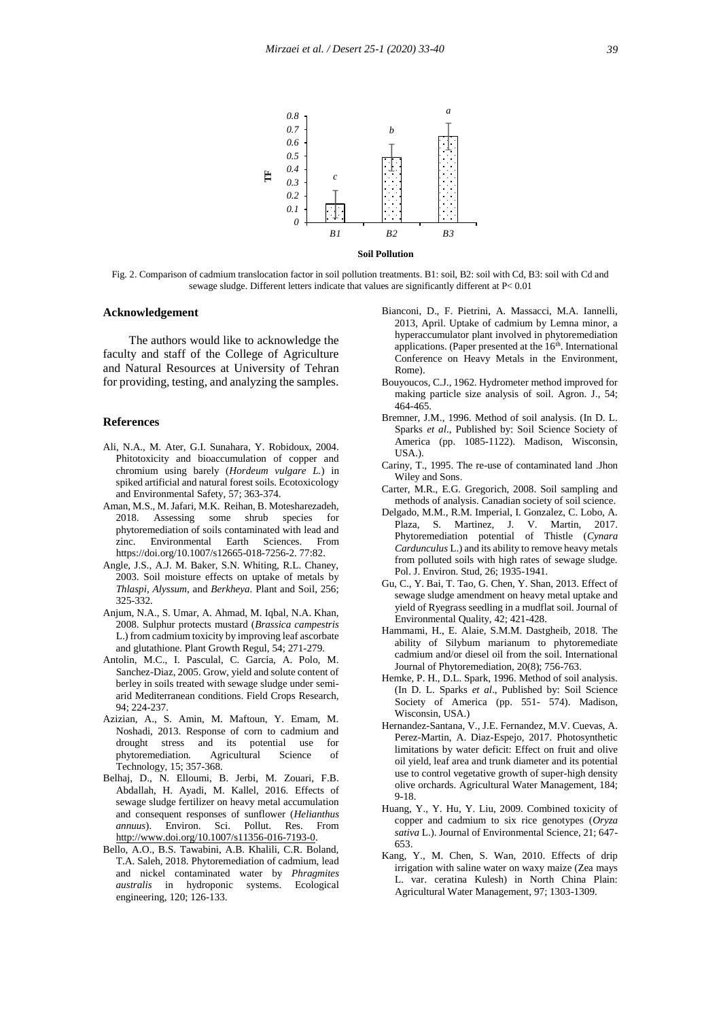

Fig. 2. Comparison of cadmium translocation factor in soil pollution treatments. B1: soil, B2: soil with Cd, B3: soil with Cd and sewage sludge. Different letters indicate that values are significantly different at P< 0.01

## **Acknowledgement**

The authors would like to acknowledge the faculty and staff of the College of Agriculture and Natural Resources at University of Tehran for providing, testing, and analyzing the samples.

## **References**

- Ali, N.A., M. Ater, G.I. Sunahara, Y. Robidoux, 2004. Phitotoxicity and bioaccumulation of copper and chromium using barely (*Hordeum vulgare L.*) in spiked artificial and natural forest soils. Ecotoxicology and Environmental Safety, 57; 363-374.
- Aman, M.S., M. Jafari, M.K. Reihan, B. Motesharezadeh, 2018. Assessing some shrub species for phytoremediation of soils contaminated with lead and zinc. Environmental Earth Sciences. From https://doi.org/10.1007/s12665-018-7256-2. 77:82.
- Angle, J.S., A.J. M. Baker, S.N. Whiting, R.L. Chaney, 2003. Soil moisture effects on uptake of metals by *Thlaspi*, *Alyssum*, and *Berkheya*. Plant and Soil, 256; 325-332.
- Anjum, N.A., S. Umar, A. Ahmad, M. Iqbal, N.A. Khan, 2008. Sulphur protects mustard (*Brassica campestris* L.) from cadmium toxicity by improving leaf ascorbate and glutathione. Plant Growth Regul, 54; 271-279.
- Antolin, M.C., I. Pasculal, C. Garcia, A. Polo, M. Sanchez-Diaz, 2005. Grow, yield and solute content of berley in soils treated with sewage sludge under semi arid Mediterranean conditions. Field Crops Research, 94; 224-237.
- Azizian, A., S. Amin, M. Maftoun, Y. Emam, M. Noshadi, 2013. Response of corn to cadmium and drought stress and its potential use for phytoremediation. Agricultural Science of Technology, 15; 357-368.
- Belhaj, D., N. Elloumi, B. Jerbi, M. Zouari, F.B. Abdallah, H. Ayadi, M. Kallel, 2016. Effects of sewage sludge fertilizer on heavy metal accumulation and consequent responses of sunflower (*Helianthus annuus*). Environ. Sci. Pollut. Res. From http://www.doi.org/10.1007/s11356-016-7193-0.
- Bello, A.O., B.S. Tawabini, A.B. Khalili, C.R. Boland, T.A. Saleh, 2018. Phytoremediation of cadmium, lead and nickel contaminated water by *Phragmites australis* in hydroponic systems. Ecological engineering, 120; 126-133.
- Bianconi, D., F. Pietrini, A. Massacci, M.A. Iannelli, 2013, April. Uptake of cadmium by Lemna minor, a hyperaccumulator plant involved in phytoremediation applications. (Paper presented at the 16<sup>th</sup>. International Conference on Heavy Metals in the Environment, Rome).
- Bouyoucos, C.J., 1962. Hydrometer method improved for making particle size analysis of soil. Agron. J., 54; 464-465.
- Bremner, J.M., 1996. Method of soil analysis. (In D. L. Sparks *et al*., Published by: Soil Science Society of America (pp. 1085-1122). Madison, Wisconsin,  $IISA.$
- Cariny, T., 1995. The re-use of contaminated land *.*Jhon Wiley and Sons*.*
- Carter, M.R., E.G. Gregorich, 2008. Soil sampling and methods of analysis. Canadian society of soil science.
- Delgado, M.M., R.M. Imperial, I. Gonzalez, C. Lobo, A. Plaza, S. Martinez, J. V. Martin, 2017. Phytoremediation potential of Thistle (*Cynara Cardunculus* L.) and its ability to remove heavy metals from polluted soils with high rates of sewage sludge. Pol. J. Environ. Stud, 26; 1935-1941.
- Gu, C., Y. Bai, T. Tao, G. Chen, Y. Shan, 2013. Effect of sewage sludge amendment on heavy metal uptake and yield of Ryegrass seedling in a mudflat soil. Journal of Environmental Quality, 42; 421-428.
- Hammami, H., E. Alaie, S.M.M. Dastgheib, 2018. The ability of Silybum marianum to phytoremediate cadmium and/or diesel oil from the soil. International Journal of Phytoremediation, 20(8); 756-763.
- Hemke, P. H., D.L. Spark, 1996. Method of soil analysis. (In D. L. Sparks *et al*., Published by: Soil Science Society of America (pp. 551- 574). Madison, Wisconsin, USA.)
- Hernandez-Santana, V., J.E. Fernandez, M.V. Cuevas, A. Perez-Martin, A. Diaz-Espejo, 2017. Photosynthetic limitations by water deficit: Effect on fruit and olive oil yield, leaf area and trunk diameter and its potential use to control vegetative growth of super-high density olive orchards. Agricultural Water Management, 184; 9-18.
- Huang, Y., Y. Hu, Y. Liu, 2009. Combined toxicity of copper and cadmium to six rice genotypes (*Oryza sativa* L.). Journal of Environmental Science, 21; 647- 653.
- Kang, Y., M. Chen, S. Wan, 2010. Effects of drip irrigation with saline water on waxy maize (Zea mays L. var. ceratina Kulesh) in North China Plain: Agricultural Water Management, 97; 1303-1309.